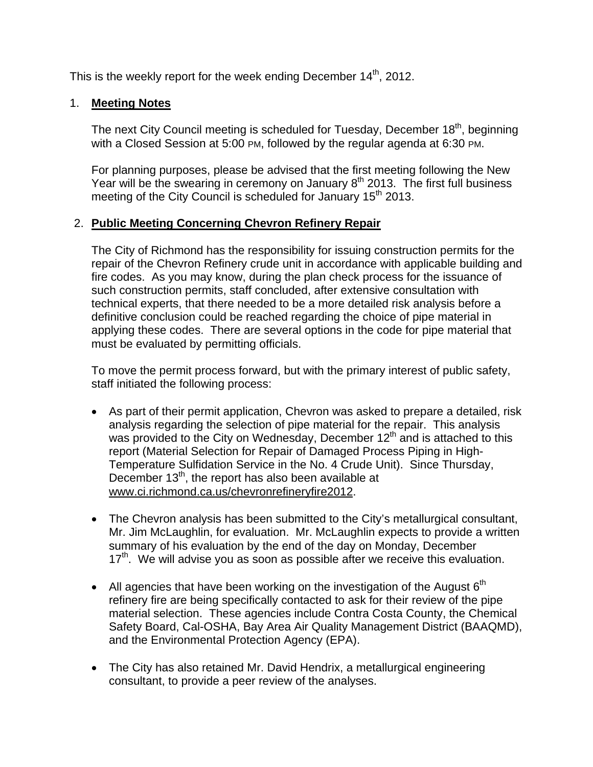This is the weekly report for the week ending December  $14<sup>th</sup>$ , 2012.

# 1. **Meeting Notes**

The next City Council meeting is scheduled for Tuesday, December 18<sup>th</sup>, beginning with a Closed Session at 5:00 PM, followed by the regular agenda at 6:30 PM.

For planning purposes, please be advised that the first meeting following the New Year will be the swearing in ceremony on January  $8<sup>th</sup>$  2013. The first full business meeting of the City Council is scheduled for January 15<sup>th</sup> 2013.

# 2. **Public Meeting Concerning Chevron Refinery Repair**

The City of Richmond has the responsibility for issuing construction permits for the repair of the Chevron Refinery crude unit in accordance with applicable building and fire codes. As you may know, during the plan check process for the issuance of such construction permits, staff concluded, after extensive consultation with technical experts, that there needed to be a more detailed risk analysis before a definitive conclusion could be reached regarding the choice of pipe material in applying these codes. There are several options in the code for pipe material that must be evaluated by permitting officials.

To move the permit process forward, but with the primary interest of public safety, staff initiated the following process:

- As part of their permit application, Chevron was asked to prepare a detailed, risk analysis regarding the selection of pipe material for the repair. This analysis was provided to the City on Wednesday, December 12<sup>th</sup> and is attached to this report (Material Selection for Repair of Damaged Process Piping in High-Temperature Sulfidation Service in the No. 4 Crude Unit). Since Thursday, December  $13<sup>th</sup>$ , the report has also been available at www.ci.richmond.ca.us/chevronrefineryfire2012.
- The Chevron analysis has been submitted to the City's metallurgical consultant, Mr. Jim McLaughlin, for evaluation. Mr. McLaughlin expects to provide a written summary of his evaluation by the end of the day on Monday, December  $17<sup>th</sup>$ . We will advise you as soon as possible after we receive this evaluation.
- All agencies that have been working on the investigation of the August  $6<sup>th</sup>$ refinery fire are being specifically contacted to ask for their review of the pipe material selection. These agencies include Contra Costa County, the Chemical Safety Board, Cal-OSHA, Bay Area Air Quality Management District (BAAQMD), and the Environmental Protection Agency (EPA).
- The City has also retained Mr. David Hendrix, a metallurgical engineering consultant, to provide a peer review of the analyses.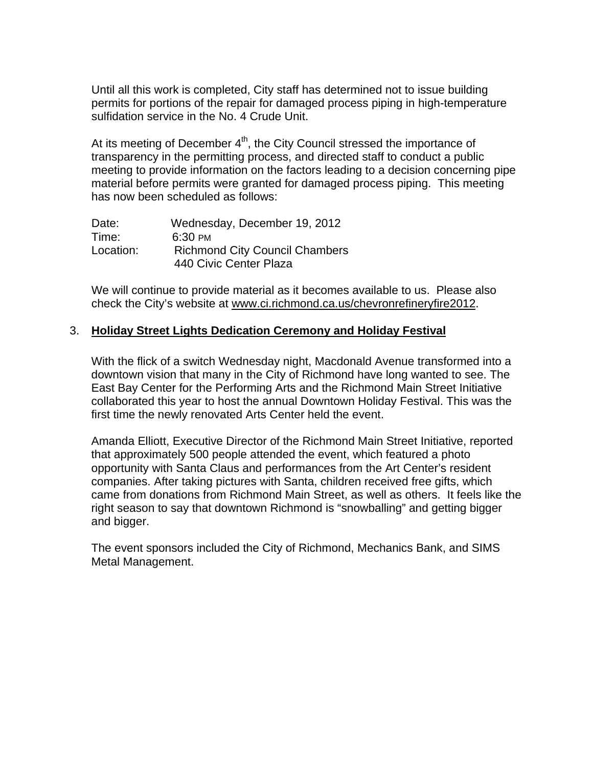Until all this work is completed, City staff has determined not to issue building permits for portions of the repair for damaged process piping in high-temperature sulfidation service in the No. 4 Crude Unit.

At its meeting of December 4<sup>th</sup>, the City Council stressed the importance of transparency in the permitting process, and directed staff to conduct a public meeting to provide information on the factors leading to a decision concerning pipe material before permits were granted for damaged process piping. This meeting has now been scheduled as follows:

| Date:     | Wednesday, December 19, 2012          |  |
|-----------|---------------------------------------|--|
| Time:     | $6:30 \text{ }$ PM                    |  |
| Location: | <b>Richmond City Council Chambers</b> |  |
|           | 440 Civic Center Plaza                |  |

We will continue to provide material as it becomes available to us. Please also check the City's website at www.ci.richmond.ca.us/chevronrefineryfire2012.

#### 3. **Holiday Street Lights Dedication Ceremony and Holiday Festival**

With the flick of a switch Wednesday night, Macdonald Avenue transformed into a downtown vision that many in the City of Richmond have long wanted to see. The East Bay Center for the Performing Arts and the Richmond Main Street Initiative collaborated this year to host the annual Downtown Holiday Festival. This was the first time the newly renovated Arts Center held the event.

Amanda Elliott, Executive Director of the Richmond Main Street Initiative, reported that approximately 500 people attended the event, which featured a photo opportunity with Santa Claus and performances from the Art Center's resident companies. After taking pictures with Santa, children received free gifts, which came from donations from Richmond Main Street, as well as others. It feels like the right season to say that downtown Richmond is "snowballing" and getting bigger and bigger.

The event sponsors included the City of Richmond, Mechanics Bank, and SIMS Metal Management.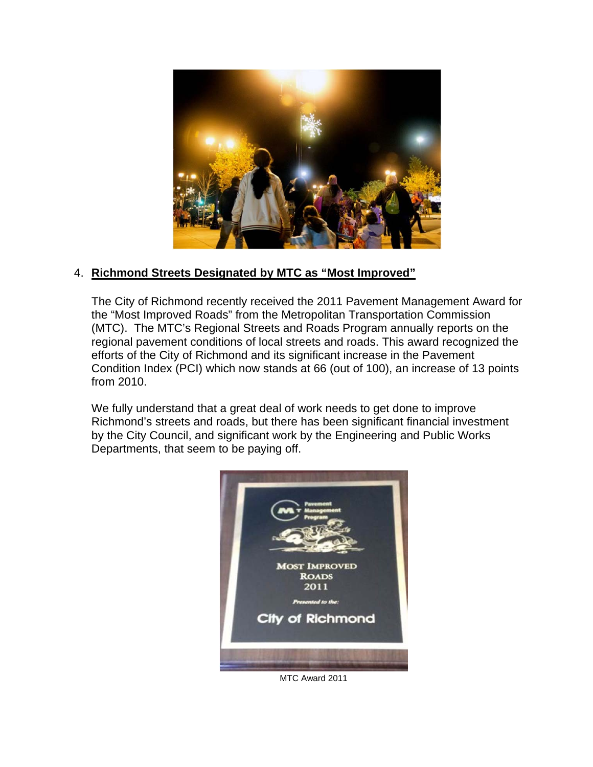

## 4. **Richmond Streets Designated by MTC as "Most Improved"**

The City of Richmond recently received the 2011 Pavement Management Award for the "Most Improved Roads" from the Metropolitan Transportation Commission (MTC). The MTC's Regional Streets and Roads Program annually reports on the regional pavement conditions of local streets and roads. This award recognized the efforts of the City of Richmond and its significant increase in the Pavement Condition Index (PCI) which now stands at 66 (out of 100), an increase of 13 points from 2010.

We fully understand that a great deal of work needs to get done to improve Richmond's streets and roads, but there has been significant financial investment by the City Council, and significant work by the Engineering and Public Works Departments, that seem to be paying off.



MTC Award 2011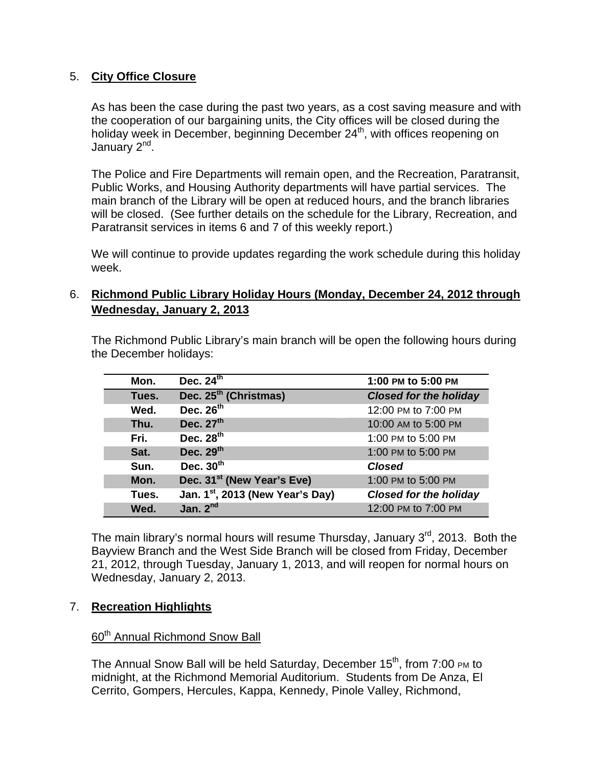# 5. **City Office Closure**

As has been the case during the past two years, as a cost saving measure and with the cooperation of our bargaining units, the City offices will be closed during the holiday week in December, beginning December 24<sup>th</sup>, with offices reopening on January 2<sup>nd</sup>.

The Police and Fire Departments will remain open, and the Recreation, Paratransit, Public Works, and Housing Authority departments will have partial services. The main branch of the Library will be open at reduced hours, and the branch libraries will be closed. (See further details on the schedule for the Library, Recreation, and Paratransit services in items 6 and 7 of this weekly report.)

We will continue to provide updates regarding the work schedule during this holiday week.

# 6. **Richmond Public Library Holiday Hours (Monday, December 24, 2012 through Wednesday, January 2, 2013**

The Richmond Public Library's main branch will be open the following hours during the December holidays:

| Mon.  | Dec. $24^{th}$                               | 1:00 PM to 5:00 PM            |
|-------|----------------------------------------------|-------------------------------|
| Tues. | Dec. 25 <sup>th</sup> (Christmas)            | <b>Closed for the holiday</b> |
| Wed.  | Dec. 26 <sup>th</sup>                        | 12:00 PM to 7:00 PM           |
| Thu.  | Dec. $27th$                                  | 10:00 AM to 5:00 PM           |
| Fri.  | Dec. $28th$                                  | 1:00 PM to 5:00 PM            |
| Sat.  | Dec. 29th                                    | 1:00 PM to 5:00 PM            |
| Sun.  | Dec. $30th$                                  | <b>Closed</b>                 |
| Mon.  | Dec. 31 <sup>st</sup> (New Year's Eve)       | 1:00 PM to 5:00 PM            |
| Tues. | Jan. 1 <sup>st</sup> , 2013 (New Year's Day) | <b>Closed for the holiday</b> |
| Wed.  | Jan. $2^{nd}$                                | 12:00 PM to 7:00 PM           |

The main library's normal hours will resume Thursday, January  $3<sup>rd</sup>$ , 2013. Both the Bayview Branch and the West Side Branch will be closed from Friday, December 21, 2012, through Tuesday, January 1, 2013, and will reopen for normal hours on Wednesday, January 2, 2013.

## 7. **Recreation Highlights**

## 60<sup>th</sup> Annual Richmond Snow Ball

The Annual Snow Ball will be held Saturday, December 15<sup>th</sup>, from 7:00 PM to midnight, at the Richmond Memorial Auditorium. Students from De Anza, El Cerrito, Gompers, Hercules, Kappa, Kennedy, Pinole Valley, Richmond,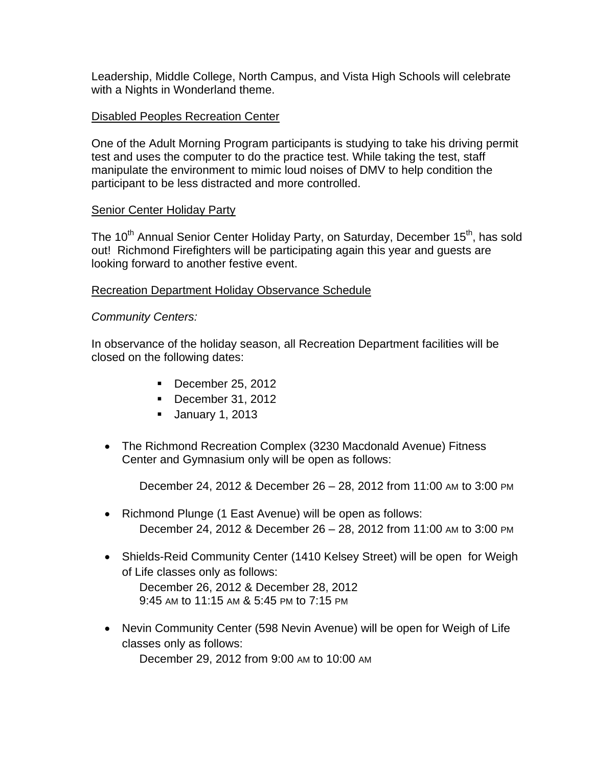Leadership, Middle College, North Campus, and Vista High Schools will celebrate with a Nights in Wonderland theme.

## Disabled Peoples Recreation Center

One of the Adult Morning Program participants is studying to take his driving permit test and uses the computer to do the practice test. While taking the test, staff manipulate the environment to mimic loud noises of DMV to help condition the participant to be less distracted and more controlled.

## **Senior Center Holiday Party**

The 10<sup>th</sup> Annual Senior Center Holiday Party, on Saturday, December 15<sup>th</sup>, has sold out! Richmond Firefighters will be participating again this year and guests are looking forward to another festive event.

#### Recreation Department Holiday Observance Schedule

#### *Community Centers:*

In observance of the holiday season, all Recreation Department facilities will be closed on the following dates:

- $\blacksquare$  December 25, 2012
- December 31, 2012
- **January 1, 2013**
- The Richmond Recreation Complex (3230 Macdonald Avenue) Fitness Center and Gymnasium only will be open as follows:

December 24, 2012 & December 26 – 28, 2012 from 11:00 AM to 3:00 PM

- Richmond Plunge (1 East Avenue) will be open as follows: December 24, 2012 & December 26 – 28, 2012 from 11:00 AM to 3:00 PM
- Shields-Reid Community Center (1410 Kelsey Street) will be open for Weigh of Life classes only as follows: December 26, 2012 & December 28, 2012 9:45 AM to 11:15 AM & 5:45 PM to 7:15 PM
- Nevin Community Center (598 Nevin Avenue) will be open for Weigh of Life classes only as follows:

December 29, 2012 from 9:00 AM to 10:00 AM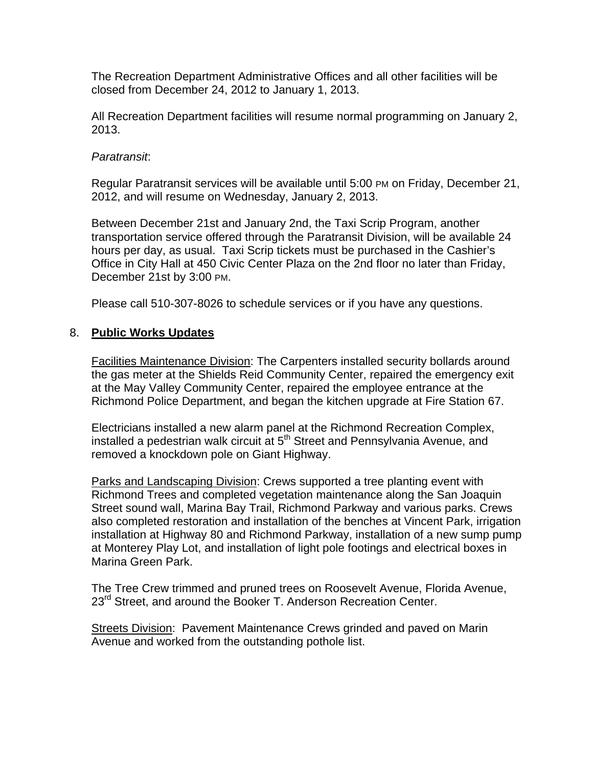The Recreation Department Administrative Offices and all other facilities will be closed from December 24, 2012 to January 1, 2013.

All Recreation Department facilities will resume normal programming on January 2, 2013.

### *Paratransit*:

Regular Paratransit services will be available until 5:00 PM on Friday, December 21, 2012, and will resume on Wednesday, January 2, 2013.

Between December 21st and January 2nd, the Taxi Scrip Program, another transportation service offered through the Paratransit Division, will be available 24 hours per day, as usual. Taxi Scrip tickets must be purchased in the Cashier's Office in City Hall at 450 Civic Center Plaza on the 2nd floor no later than Friday, December 21st by 3:00 PM.

Please call 510-307-8026 to schedule services or if you have any questions.

#### 8. **Public Works Updates**

Facilities Maintenance Division: The Carpenters installed security bollards around the gas meter at the Shields Reid Community Center, repaired the emergency exit at the May Valley Community Center, repaired the employee entrance at the Richmond Police Department, and began the kitchen upgrade at Fire Station 67.

Electricians installed a new alarm panel at the Richmond Recreation Complex, installed a pedestrian walk circuit at  $5<sup>th</sup>$  Street and Pennsylvania Avenue, and removed a knockdown pole on Giant Highway.

Parks and Landscaping Division: Crews supported a tree planting event with Richmond Trees and completed vegetation maintenance along the San Joaquin Street sound wall, Marina Bay Trail, Richmond Parkway and various parks. Crews also completed restoration and installation of the benches at Vincent Park, irrigation installation at Highway 80 and Richmond Parkway, installation of a new sump pump at Monterey Play Lot, and installation of light pole footings and electrical boxes in Marina Green Park.

The Tree Crew trimmed and pruned trees on Roosevelt Avenue, Florida Avenue, 23<sup>rd</sup> Street, and around the Booker T. Anderson Recreation Center.

Streets Division: Pavement Maintenance Crews grinded and paved on Marin Avenue and worked from the outstanding pothole list.